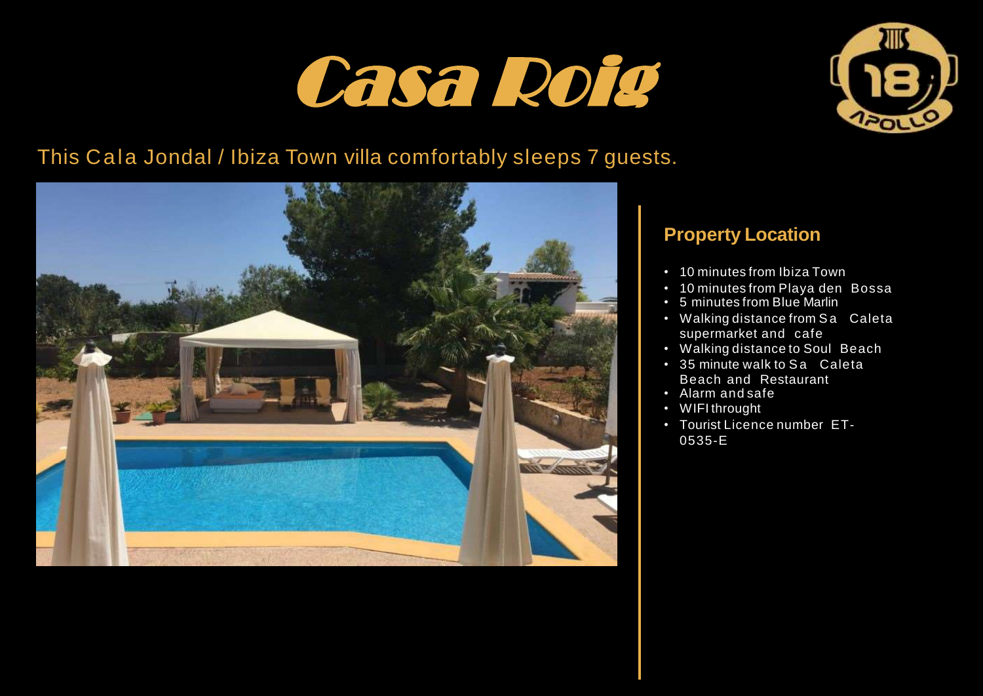## Casa Roig



## This Cala Jondal / Ibiza Town villa comfortably sleeps 7 guests.



## **Property Location**

- 10 minutes from Ibiza Town
- 10 minutes from Playa den Bossa
- 5 minutes from Blue Marlin
- Walking distance from Sa Caleta supermarket and cafe
- Walking distance to Soul Beach
- 35 minute walk to Sa Caleta Beach and Restaurant
- Alarm and safe
- WIFI throught
- Tourist Licence number ET-0535-E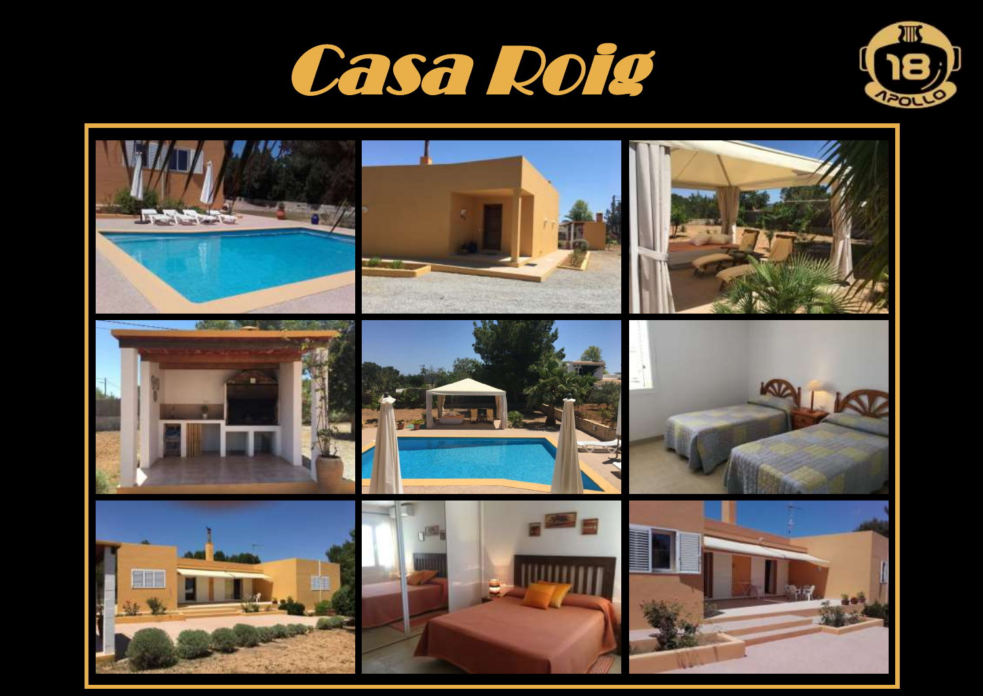



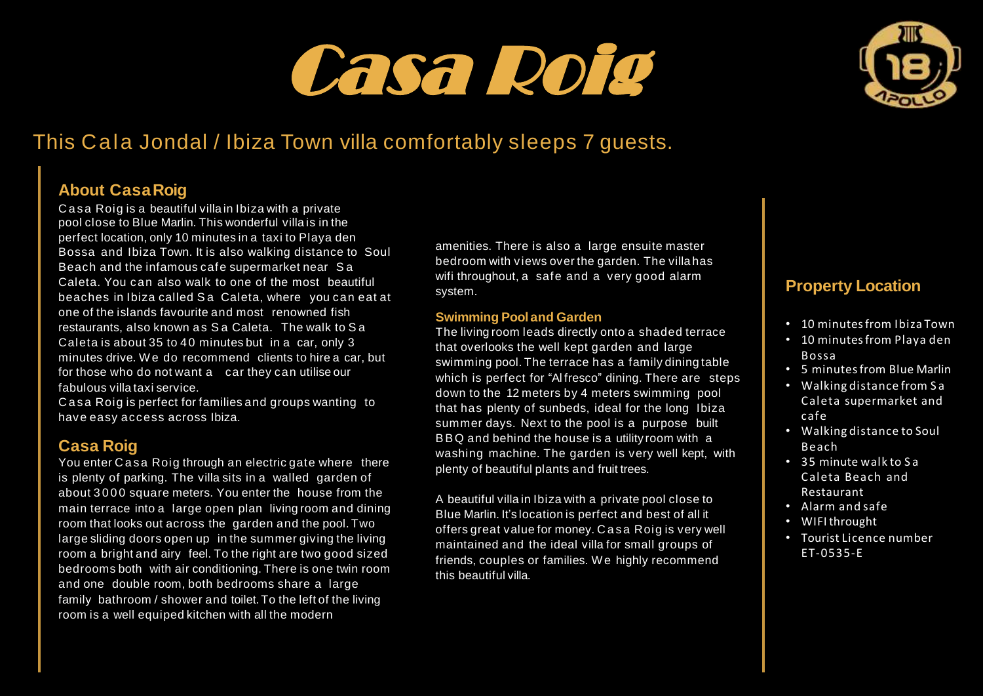# **Casa Roig** Casa Roig



## This Cala Jondal / Ibiza Town villa comfortably sleeps 7 guests.

#### **About CasaRoig**

Casa Roig is a beautiful villa in Ibiza with a private pool close to Blue Marlin. This wonderful villa is in the perfect location, only 10 minutes in a taxi to Playa den Bossa and Ibiza Town. It is also walking distance to Soul Beach and the infamous cafe supermarket near S a Caleta. You can also walk to one of the most beautiful beaches in Ibiza called Sa Caleta, where you can eat at one of the islands favourite and most renowned fish restaurants, also known as S a Caleta. The walk to S a Caleta is about 35 to 40 minutes but in a car, only 3 minutes drive. We do recommend clients to hire a car, but for those who do not want a car they can utilise our fabulous villa taxi service.

Casa Roig is perfect for families and groups wanting to have easy access across Ibiza.

#### **Casa Roig**

You enter Casa Roig through an electric gate where there is plenty of parking. The villa sits in a walled garden of about 3000 square meters. You enter the house from the main terrace into a large open plan living room and dining room that looks out across the garden and the pool. Two large sliding doors open up in the summer giving the living room a bright and airy feel. To the right are two good sized bedrooms both with air conditioning. There is one twin room and one double room, both bedrooms share a large family bathroom / shower and toilet. To the left of the living room is a well equiped kitchen with all the modern

amenities. There is also a large ensuite master bedroom with views over the garden. The villa has wifi throughout, a safe and a very good alarm system.

#### **Swimming Pooland Garden**

The living room leads directly onto a shaded terrace that overlooks the well kept garden and large swimming pool. The terrace has a family dining table which is perfect for "Alfresco" dining. There are steps down to the 12 meters by 4 meters swimming pool that has plenty of sunbeds, ideal for the long Ibiza summer days. Next to the pool is a purpose built BBQ and behind the house is a utility room with a washing machine. The garden is very well kept, with plenty of beautiful plants and fruit trees.

A beautiful villa in Ibiza with a private pool close to Blue Marlin. It's location is perfect and best of all it offers great value for money. Casa Roig is very well maintained and the ideal villa for small groups of friends, couples or families. W e highly recommend this beautiful villa.

#### **Property Location**

- 10 minutesfrom Ibiza Town
- 10 minutesfrom Playa den Bossa
- 5 minutesfrom Blue Marlin
- Walking distance from S a Caleta supermarket and cafe
- Walking distance to Soul Beach
- 35 minute walk to S a Caleta Beach and Restaurant
- Alarm and safe
- WIFIthrought
- Tourist Licence number ET-0535-E